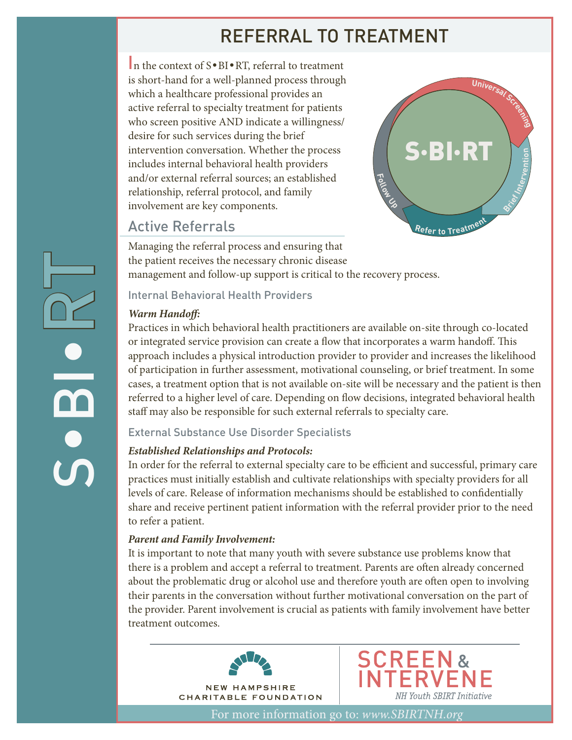# REFERRAL TO TREATMENT

In the context of S•BI•RT, referral to treatment is short-hand for a well-planned process through which a healthcare professional provides an active referral to specialty treatment for patients who screen positive AND indicate a willingness/ desire for such services during the brief intervention conversation. Whether the process includes internal behavioral health providers and/or external referral sources; an established relationship, referral protocol, and family involvement are key components.

## Active Referrals



Managing the referral process and ensuring that the patient receives the necessary chronic disease management and follow-up support is critical to the recovery process.

#### Internal Behavioral Health Providers

#### *Warm Handoff:*

 $\boldsymbol{\mathsf{C}}$ 

 $\overline{\mathbf{e}}$ 

e<br>Ex

Practices in which behavioral health practitioners are available on-site through co-located or integrated service provision can create a flow that incorporates a warm handoff. This approach includes a physical introduction provider to provider and increases the likelihood of participation in further assessment, motivational counseling, or brief treatment. In some cases, a treatment option that is not available on-site will be necessary and the patient is then referred to a higher level of care. Depending on flow decisions, integrated behavioral health staff may also be responsible for such external referrals to specialty care.

### External Substance Use Disorder Specialists

## *Established Relationships and Protocols:*

In order for the referral to external specialty care to be efficient and successful, primary care practices must initially establish and cultivate relationships with specialty providers for all levels of care. Release of information mechanisms should be established to confidentially share and receive pertinent patient information with the referral provider prior to the need to refer a patient.

### *Parent and Family Involvement:*

It is important to note that many youth with severe substance use problems know that there is a problem and accept a referral to treatment. Parents are often already concerned about the problematic drug or alcohol use and therefore youth are often open to involving their parents in the conversation without further motivational conversation on the part of the provider. Parent involvement is crucial as patients with family involvement have better treatment outcomes.